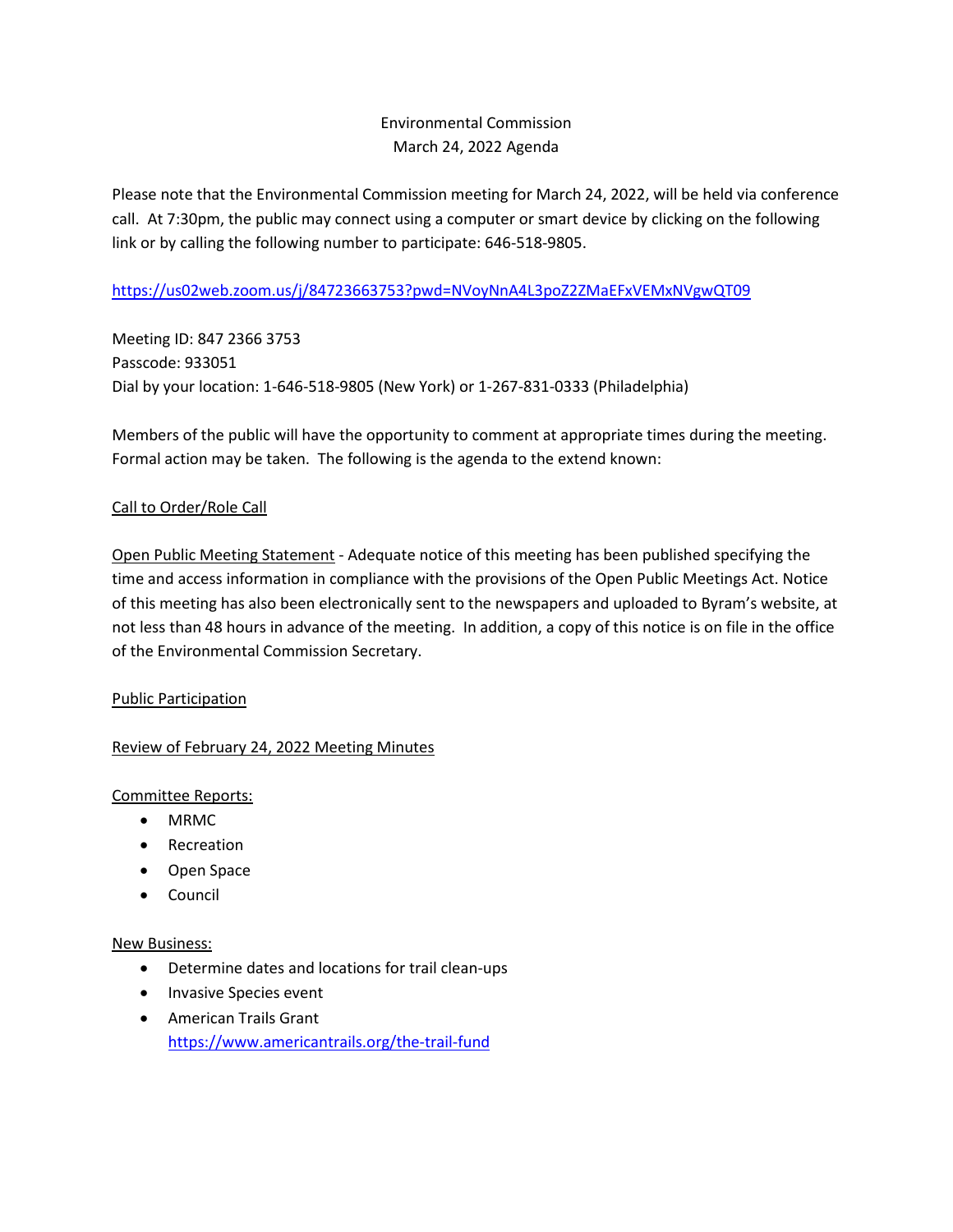# Environmental Commission March 24, 2022 Agenda

Please note that the Environmental Commission meeting for March 24, 2022, will be held via conference call. At 7:30pm, the public may connect using a computer or smart device by clicking on the following link or by calling the following number to participate: 646-518-9805.

# <https://us02web.zoom.us/j/84723663753?pwd=NVoyNnA4L3poZ2ZMaEFxVEMxNVgwQT09>

Meeting ID: 847 2366 3753 Passcode: 933051 Dial by your location: 1-646-518-9805 (New York) or 1-267-831-0333 (Philadelphia)

Members of the public will have the opportunity to comment at appropriate times during the meeting. Formal action may be taken. The following is the agenda to the extend known:

## Call to Order/Role Call

Open Public Meeting Statement - Adequate notice of this meeting has been published specifying the time and access information in compliance with the provisions of the Open Public Meetings Act. Notice of this meeting has also been electronically sent to the newspapers and uploaded to Byram's website, at not less than 48 hours in advance of the meeting. In addition, a copy of this notice is on file in the office of the Environmental Commission Secretary.

## Public Participation

## Review of February 24, 2022 Meeting Minutes

## Committee Reports:

- MRMC
- Recreation
- Open Space
- Council

#### New Business:

- Determine dates and locations for trail clean-ups
- Invasive Species event
- American Trails Grant <https://www.americantrails.org/the-trail-fund>